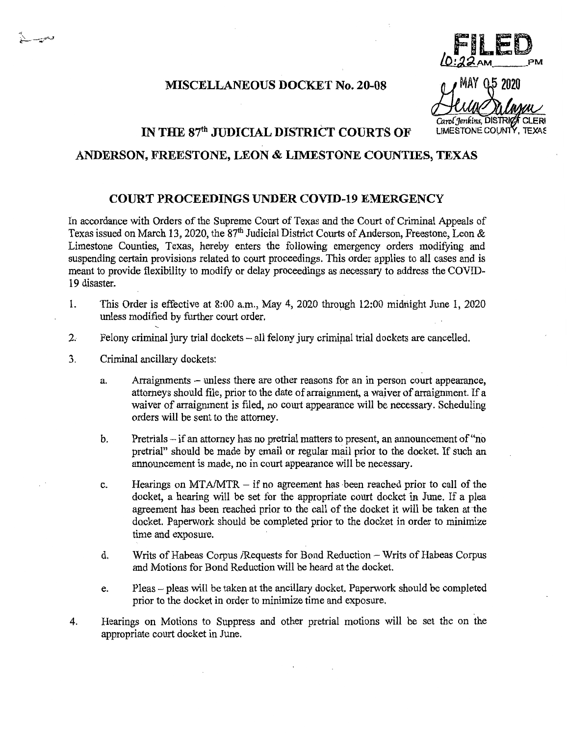**MISCELLANEOUS DOCKET No. 20-08** 

 $\sim$ ,  $\sim$ ,  $\sim$ ,  $\sim$ ,  $\sim$ ,  $\sim$ ,  $\sim$ ,  $\sim$ ,  $\sim$ ,  $\sim$ ,  $\sim$ ,  $\sim$ ,  $\sim$ ,  $\sim$ ,  $\sim$ ,  $\sim$ ,  $\sim$ ,  $\sim$ ,  $\sim$ ,  $\sim$ ,  $\sim$ ,  $\sim$ ,  $\sim$ ,  $\sim$ ,  $\sim$ ,  $\sim$ ,  $\sim$ ,  $\sim$ ,  $\sim$ ,  $\sim$ ,  $\sim$ ,  $\sim$ ,  $\sim$ ,  $\sim$ ,  $\sim$ ,  $\sim$ ,  $\sim$ ,  $L$ .  $L$   $\sim$  PM MAY 0.5 2020

Carol Jenkins, DISTRICT CLERI **LIMESTONE COUNTY, TEXAS** 

## **IN THE 87th JUDICIAL DISTRICT COURTS OF**

## **ANDERSON, FREESTONE, LEON & LIMESTONE COUNTIES, TEXAS**

## **COURT PROCEEDINGS UNDER COVID-19 EMERGENCY**

In accordance with Orders of the Supreme Court of Texas and the Court of Criminal Appeals of Texas issued on March 13, 2020, the 87<sup>th</sup> Judicial District Courts of Anderson, Freestone, Leon & Limestone Counties, Texas, hereby enters the following emergency orders modifying and suspending certain provisions related to court proceedings. This order applies to all cases and is meant to provide flexibility to modify or delay proceedings as necessary to address the COVID-19 disaster.

- 1. This Order is effective at 8:00 a.m., May 4, 2020 through 12:00 midnight June 1, 2020 unless modified by further court order.
- 2. Felony criminal jury trial dockets all felony jury criminal trial dockets are cancelled.
- 3. Criminal ancillary dockets:

"

- a. Arraignments unless there are other reasons for an in person court appearance, attorneys should file, prior to the date of arraignment, a waiver of arraignment. If a waiver of arraignment is filed, no court appearance will be necessary. Scheduling orders will be sent to the attorney.
- b. Pretrials if an attorney has no pretrial matters to present, an announcement of "no pretrial" should be made by email or regular mail prior to the docket. If such an announcement is made, no in court appearance will be necessary.
- c. Hearings on  $MTA/MTR if$  no agreement has been reached prior to call of the docket, a hearing will be set for the appropriate court docket in June. If a plea agreement has been reached prior to the call of the docket it will be taken at the docket. Paperwork should be completed prior to the docket in order to minimize time and exposure.
- d. Writs of Habeas Corpus /Requests for Bond Reduction Writs of Habeas Corpus and Motions for Bond Reduction will be heard at the docket.
- e. Pleas pleas will be taken at the ancillary docket. Paperwork should be completed prior to the docket in order to minimize time and exposure.
- 4. Hearings on Motions to Suppress and other pretrial motions will be set the on the appropriate court docket in June.